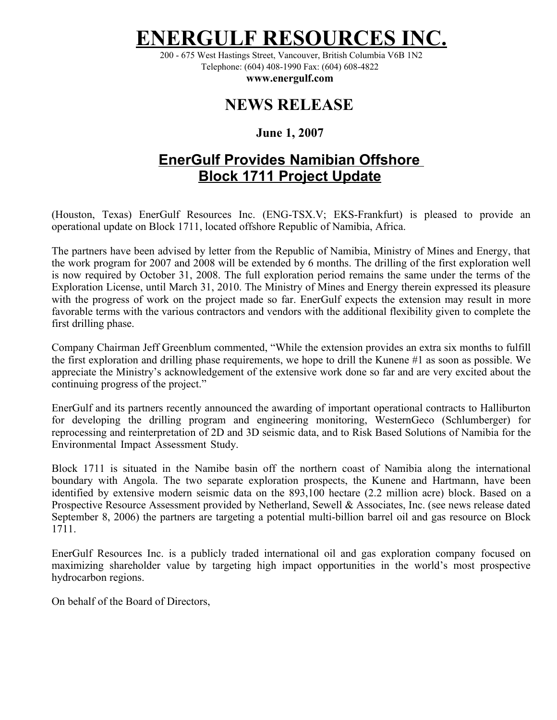# **ERGULF RESOURCES**

200 - 675 West Hastings Street, Vancouver, British Columbia V6B 1N2 Telephone: (604) 408-1990 Fax: (604) 608-4822

**www.energulf.com**

## **NEWS RELEASE**

#### **June 1, 2007**

### **EnerGulf Provides Namibian Offshore Block 1711 Project Update**

(Houston, Texas) EnerGulf Resources Inc. (ENG-TSX.V; EKS-Frankfurt) is pleased to provide an operational update on Block 1711, located offshore Republic of Namibia, Africa.

The partners have been advised by letter from the Republic of Namibia, Ministry of Mines and Energy, that the work program for 2007 and 2008 will be extended by 6 months. The drilling of the first exploration well is now required by October 31, 2008. The full exploration period remains the same under the terms of the Exploration License, until March 31, 2010. The Ministry of Mines and Energy therein expressed its pleasure with the progress of work on the project made so far. EnerGulf expects the extension may result in more favorable terms with the various contractors and vendors with the additional flexibility given to complete the first drilling phase.

Company Chairman Jeff Greenblum commented, "While the extension provides an extra six months to fulfill the first exploration and drilling phase requirements, we hope to drill the Kunene #1 as soon as possible. We appreciate the Ministry's acknowledgement of the extensive work done so far and are very excited about the continuing progress of the project."

EnerGulf and its partners recently announced the awarding of important operational contracts to Halliburton for developing the drilling program and engineering monitoring, WesternGeco (Schlumberger) for reprocessing and reinterpretation of 2D and 3D seismic data, and to Risk Based Solutions of Namibia for the Environmental Impact Assessment Study.

Block 1711 is situated in the Namibe basin off the northern coast of Namibia along the international boundary with Angola. The two separate exploration prospects, the Kunene and Hartmann, have been identified by extensive modern seismic data on the 893,100 hectare (2.2 million acre) block. Based on a Prospective Resource Assessment provided by Netherland, Sewell & Associates, Inc. (see news release dated September 8, 2006) the partners are targeting a potential multi-billion barrel oil and gas resource on Block 1711.

EnerGulf Resources Inc. is a publicly traded international oil and gas exploration company focused on maximizing shareholder value by targeting high impact opportunities in the world's most prospective hydrocarbon regions.

On behalf of the Board of Directors,